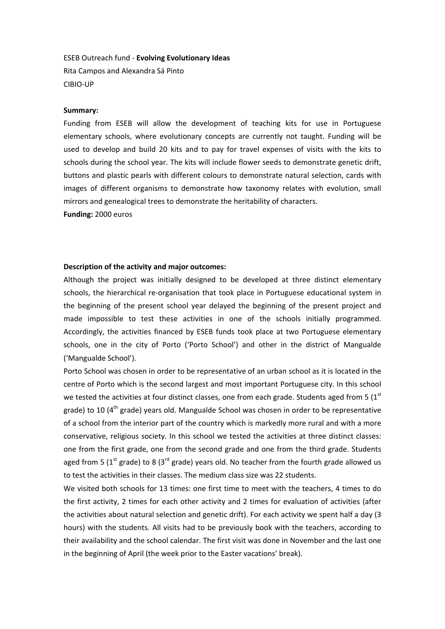ESEB Outreach fund ‐ **Evolving Evolutionary Ideas** Rita Campos and Alexandra Sá Pinto CIBIO‐UP

#### **Summary:**

Funding from ESEB will allow the development of teaching kits for use in Portuguese elementary schools, where evolutionary concepts are currently not taught. Funding will be used to develop and build 20 kits and to pay for travel expenses of visits with the kits to schools during the school year. The kits will include flower seeds to demonstrate genetic drift, buttons and plastic pearls with different colours to demonstrate natural selection, cards with images of different organisms to demonstrate how taxonomy relates with evolution, small mirrors and genealogical trees to demonstrate the heritability of characters.

**Funding:** 2000 euros

## **Description of the activity and major outcomes:**

Although the project was initially designed to be developed at three distinct elementary schools, the hierarchical re-organisation that took place in Portuguese educational system in the beginning of the present school year delayed the beginning of the present project and made impossible to test these activities in one of the schools initially programmed. Accordingly, the activities financed by ESEB funds took place at two Portuguese elementary schools, one in the city of Porto ('Porto School') and other in the district of Mangualde ('Mangualde School').

Porto School was chosen in order to be representative of an urban school as it is located in the centre of Porto which is the second largest and most important Portuguese city. In this school we tested the activities at four distinct classes, one from each grade. Students aged from 5  $(1<sup>st</sup>$ grade) to 10 (4<sup>th</sup> grade) years old. Mangualde School was chosen in order to be representative of a school from the interior part of the country which is markedly more rural and with a more conservative, religious society. In this school we tested the activities at three distinct classes: one from the first grade, one from the second grade and one from the third grade. Students aged from 5 (1<sup>st</sup> grade) to 8 (3<sup>rd</sup> grade) years old. No teacher from the fourth grade allowed us to test the activities in their classes. The medium class size was 22 students.

We visited both schools for 13 times: one first time to meet with the teachers, 4 times to do the first activity, 2 times for each other activity and 2 times for evaluation of activities (after the activities about natural selection and genetic drift). For each activity we spent half a day (3 hours) with the students. All visits had to be previously book with the teachers, according to their availability and the school calendar. The first visit was done in November and the last one in the beginning of April (the week prior to the Easter vacations' break).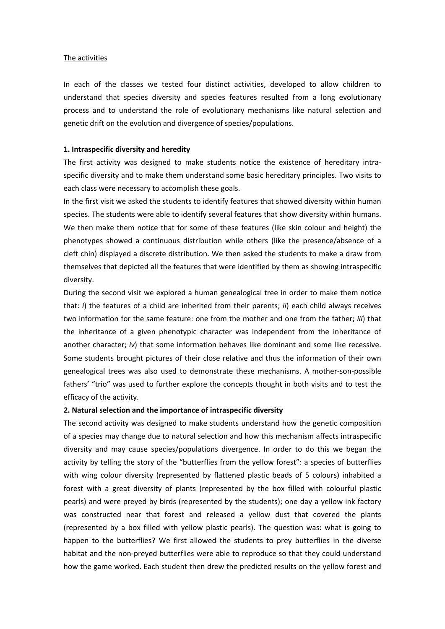#### The activities

In each of the classes we tested four distinct activities, developed to allow children to understand that species diversity and species features resulted from a long evolutionary process and to understand the role of evolutionary mechanisms like natural selection and genetic drift on the evolution and divergence of species/populations.

## **1. Intraspecific diversity and heredity**

The first activity was designed to make students notice the existence of hereditary intraspecific diversity and to make them understand some basic hereditary principles. Two visits to each class were necessary to accomplish these goals.

In the first visit we asked the students to identify features that showed diversity within human species. The students were able to identify several features that show diversity within humans. We then make them notice that for some of these features (like skin colour and height) the phenotypes showed a continuous distribution while others (like the presence/absence of a cleft chin) displayed a discrete distribution. We then asked the students to make a draw from themselves that depicted all the features that were identified by them as showing intraspecific diversity.

During the second visit we explored a human genealogical tree in order to make them notice that: *i*) the features of a child are inherited from their parents; *ii*) each child always receives two information for the same feature: one from the mother and one from the father; *iii*) that the inheritance of a given phenotypic character was independent from the inheritance of another character; *iv*) that some information behaves like dominant and some like recessive. Some students brought pictures of their close relative and thus the information of their own genealogical trees was also used to demonstrate these mechanisms. A mother‐son‐possible fathers' "trio" was used to further explore the concepts thought in both visits and to test the efficacy of the activity.

### **2. Natural selection and the importance of intraspecific diversity**

The second activity was designed to make students understand how the genetic composition of a species may change due to natural selection and how this mechanism affects intraspecific diversity and may cause species/populations divergence. In order to do this we began the activity by telling the story of the "butterflies from the yellow forest": a species of butterflies with wing colour diversity (represented by flattened plastic beads of 5 colours) inhabited a forest with a great diversity of plants (represented by the box filled with colourful plastic pearls) and were preyed by birds (represented by the students); one day a yellow ink factory was constructed near that forest and released a yellow dust that covered the plants (represented by a box filled with yellow plastic pearls). The question was: what is going to happen to the butterflies? We first allowed the students to prey butterflies in the diverse habitat and the non‐preyed butterflies were able to reproduce so that they could understand how the game worked. Each student then drew the predicted results on the yellow forest and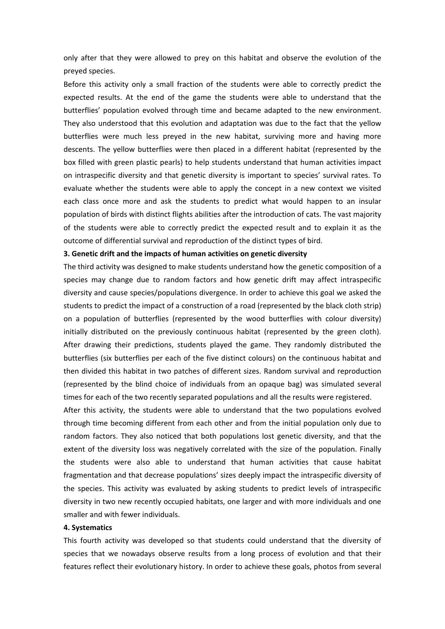only after that they were allowed to prey on this habitat and observe the evolution of the preyed species.

Before this activity only a small fraction of the students were able to correctly predict the expected results. At the end of the game the students were able to understand that the butterflies' population evolved through time and became adapted to the new environment. They also understood that this evolution and adaptation was due to the fact that the yellow butterflies were much less preyed in the new habitat, surviving more and having more descents. The yellow butterflies were then placed in a different habitat (represented by the box filled with green plastic pearls) to help students understand that human activities impact on intraspecific diversity and that genetic diversity is important to species' survival rates. To evaluate whether the students were able to apply the concept in a new context we visited each class once more and ask the students to predict what would happen to an insular population of birds with distinct flights abilities after the introduction of cats. The vast majority of the students were able to correctly predict the expected result and to explain it as the outcome of differential survival and reproduction of the distinct types of bird.

#### **3. Genetic drift and the impacts of human activities on genetic diversity**

The third activity was designed to make students understand how the genetic composition of a species may change due to random factors and how genetic drift may affect intraspecific diversity and cause species/populations divergence. In order to achieve this goal we asked the students to predict the impact of a construction of a road (represented by the black cloth strip) on a population of butterflies (represented by the wood butterflies with colour diversity) initially distributed on the previously continuous habitat (represented by the green cloth). After drawing their predictions, students played the game. They randomly distributed the butterflies (six butterflies per each of the five distinct colours) on the continuous habitat and then divided this habitat in two patches of different sizes. Random survival and reproduction (represented by the blind choice of individuals from an opaque bag) was simulated several times for each of the two recently separated populations and all the results were registered.

After this activity, the students were able to understand that the two populations evolved through time becoming different from each other and from the initial population only due to random factors. They also noticed that both populations lost genetic diversity, and that the extent of the diversity loss was negatively correlated with the size of the population. Finally the students were also able to understand that human activities that cause habitat fragmentation and that decrease populations' sizes deeply impact the intraspecific diversity of the species. This activity was evaluated by asking students to predict levels of intraspecific diversity in two new recently occupied habitats, one larger and with more individuals and one smaller and with fewer individuals.

#### **4. Systematics**

This fourth activity was developed so that students could understand that the diversity of species that we nowadays observe results from a long process of evolution and that their features reflect their evolutionary history. In order to achieve these goals, photos from several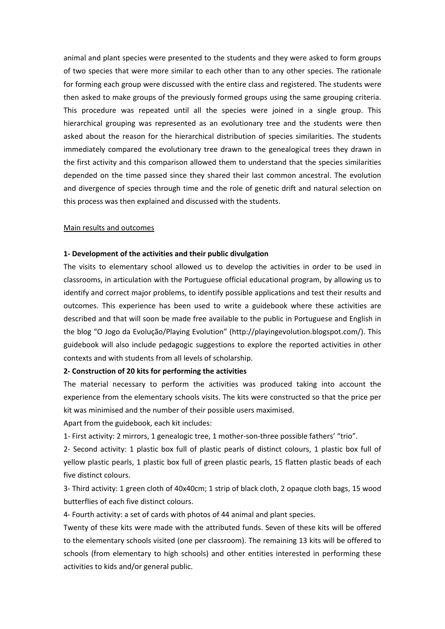animal and plant species were presented to the students and they were asked to form groups of two species that were more similar to each other than to any other species. The rationale for forming each group were discussed with the entire class and registered. The students were then asked to make groups of the previously formed groups using the same grouping criteria. This procedure was repeated until all the species were joined in a single group. This hierarchical grouping was represented as an evolutionary tree and the students were then asked about the reason for the hierarchical distribution of species similarities. The students immediately compared the evolutionary tree drawn to the genealogical trees they drawn in the first activity and this comparison allowed them to understand that the species similarities depended on the time passed since they shared their last common ancestral. The evolution and divergence of species through time and the role of genetic drift and natural selection on this process was then explained and discussed with the students.

# Main results and outcomes

# **1‐ Development of the activities and their public divulgation**

The visits to elementary school allowed us to develop the activities in order to be used in classrooms, in articulation with the Portuguese official educational program, by allowing us to identify and correct major problems, to identify possible applications and test their results and outcomes. This experience has been used to write a guidebook where these activities are described and that will soon be made free available to the public in Portuguese and English in the blog "O Jogo da Evolução/Playing Evolution" (http://playingevolution.blogspot.com/). This guidebook will also include pedagogic suggestions to explore the reported activities in other contexts and with students from all levels of scholarship.

## **2‐ Construction of 20 kits for performing the activities**

The material necessary to perform the activities was produced taking into account the experience from the elementary schools visits. The kits were constructed so that the price per kit was minimised and the number of their possible users maximised.

Apart from the guidebook, each kit includes:

1- First activity: 2 mirrors, 1 genealogic tree, 1 mother-son-three possible fathers' "trio".

2‐ Second activity: 1 plastic box full of plastic pearls of distinct colours, 1 plastic box full of yellow plastic pearls, 1 plastic box full of green plastic pearls, 15 flatten plastic beads of each five distinct colours.

3‐ Third activity: 1 green cloth of 40x40cm; 1 strip of black cloth, 2 opaque cloth bags, 15 wood butterflies of each five distinct colours.

4‐ Fourth activity: a set of cards with photos of 44 animal and plant species.

Twenty of these kits were made with the attributed funds. Seven of these kits will be offered to the elementary schools visited (one per classroom). The remaining 13 kits will be offered to schools (from elementary to high schools) and other entities interested in performing these activities to kids and/or general public.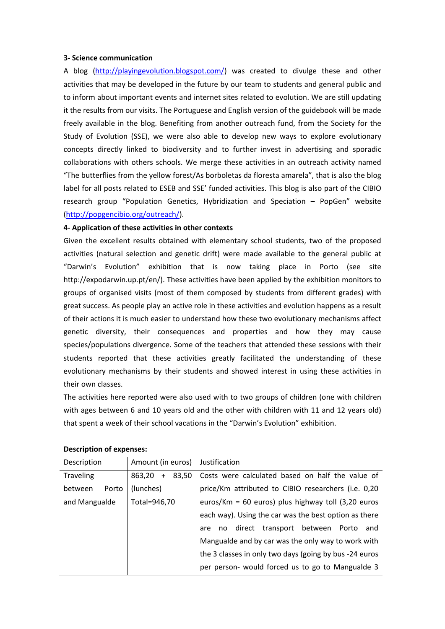### **3‐ Science communication**

A blog (http://playingevolution.blogspot.com/) was created to divulge these and other activities that may be developed in the future by our team to students and general public and to inform about important events and internet sites related to evolution. We are still updating it the results from our visits. The Portuguese and English version of the guidebook will be made freely available in the blog. Benefiting from another outreach fund, from the Society for the Study of Evolution (SSE), we were also able to develop new ways to explore evolutionary concepts directly linked to biodiversity and to further invest in advertising and sporadic collaborations with others schools. We merge these activities in an outreach activity named "The butterflies from the yellow forest/As borboletas da floresta amarela", that is also the blog label for all posts related to ESEB and SSE' funded activities. This blog is also part of the CIBIO research group "Population Genetics, Hybridization and Speciation – PopGen" website (http://popgencibio.org/outreach/).

# **4‐ Application of these activities in other contexts**

Given the excellent results obtained with elementary school students, two of the proposed activities (natural selection and genetic drift) were made available to the general public at "Darwin's Evolution" exhibition that is now taking place in Porto (see site http://expodarwin.up.pt/en/). These activities have been applied by the exhibition monitors to groups of organised visits (most of them composed by students from different grades) with great success. As people play an active role in these activities and evolution happens as a result of their actions it is much easier to understand how these two evolutionary mechanisms affect genetic diversity, their consequences and properties and how they may cause species/populations divergence. Some of the teachers that attended these sessions with their students reported that these activities greatly facilitated the understanding of these evolutionary mechanisms by their students and showed interest in using these activities in their own classes.

The activities here reported were also used with to two groups of children (one with children with ages between 6 and 10 years old and the other with children with 11 and 12 years old) that spent a week of their school vacations in the "Darwin's Evolution" exhibition.

| Description      | Amount (in euros)      | Justification                                          |
|------------------|------------------------|--------------------------------------------------------|
| <b>Traveling</b> | 863.20<br>83.50<br>$+$ | Costs were calculated based on half the value of       |
| Porto<br>between | (lunches)              | price/Km attributed to CIBIO researchers (i.e. 0,20    |
| and Mangualde    | Total=946,70           | euros/Km = 60 euros) plus highway toll (3,20 euros     |
|                  |                        | each way). Using the car was the best option as there  |
|                  |                        | no direct transport between Porto<br>and<br>are        |
|                  |                        | Mangualde and by car was the only way to work with     |
|                  |                        | the 3 classes in only two days (going by bus -24 euros |
|                  |                        | per person- would forced us to go to Mangualde 3       |

# **Description of expenses:**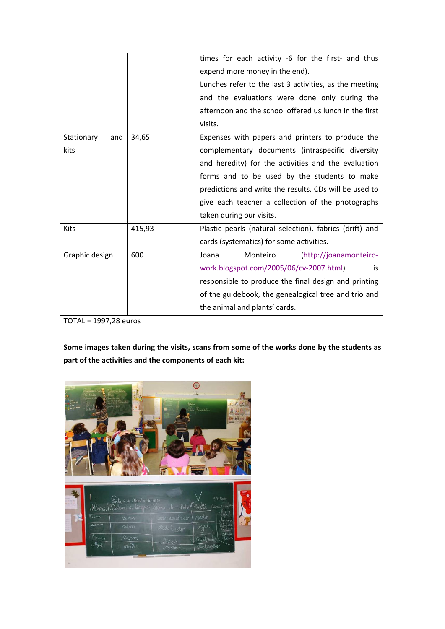|                              |        | times for each activity -6 for the first- and thus      |  |
|------------------------------|--------|---------------------------------------------------------|--|
|                              |        | expend more money in the end).                          |  |
|                              |        | Lunches refer to the last 3 activities, as the meeting  |  |
|                              |        | and the evaluations were done only during the           |  |
|                              |        | afternoon and the school offered us lunch in the first  |  |
|                              |        | visits.                                                 |  |
| Stationary<br>and            | 34,65  | Expenses with papers and printers to produce the        |  |
| kits                         |        | complementary documents (intraspecific diversity        |  |
|                              |        | and heredity) for the activities and the evaluation     |  |
|                              |        | forms and to be used by the students to make            |  |
|                              |        | predictions and write the results. CDs will be used to  |  |
|                              |        | give each teacher a collection of the photographs       |  |
|                              |        | taken during our visits.                                |  |
| Kits                         | 415,93 | Plastic pearls (natural selection), fabrics (drift) and |  |
|                              |        | cards (systematics) for some activities.                |  |
| Graphic design               | 600    | Monteiro<br>(http://joanamonteiro-<br>Joana             |  |
|                              |        | work.blogspot.com/2005/06/cv-2007.html)<br>is           |  |
|                              |        | responsible to produce the final design and printing    |  |
|                              |        | of the guidebook, the genealogical tree and trio and    |  |
|                              |        | the animal and plants' cards.                           |  |
| <b>TOTAL = 1997,28 euros</b> |        |                                                         |  |

**Some images taken during the visits, scans from some of the works done by the students as part of the activities and the components of each kit:**

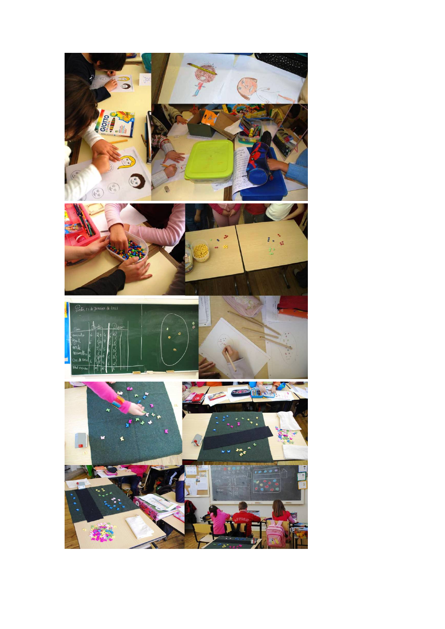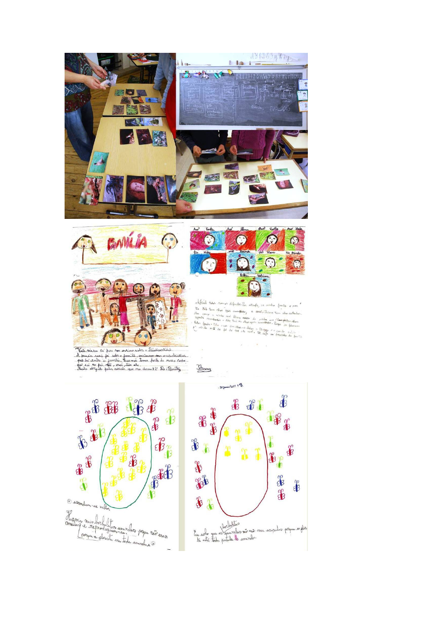



 $\bigodot$  $\odot$ Œ  $\odot$  $\overline{\cdot}$ 

Moral today somas difuntos. Por excepto, no minha to the two sources of the standards of the standard of the original us<br>Ogusta comer a miniho and dilang memor de miniho ano "Somepheto<br>Li " Asnestodos - Alle tuni as chuanguin sumethodos. Terga su agement international in many comments engine.<br>Endow Spack - Edu of an other readings in Education Fire can die culture<br>It minide an II die fait die teel ste ment, 10 oralp aan diecertahe die kunstin

Vocis relevan la possa non environmento Riadisser Nided - Ross, Melion Ra Anna Mon announce in Continental American Content Content<br>2 Desembre 2008 - Jos Adolf a Banchina a American American Content<br>quil Ani Ra Ani, mini , novel, Adon actor<br>- Music obrigado Auhor Assission que

 $\overline{\mathcal{B}}$ 

 $a \n\in \mathbb{S}$ 

J

@ escendi



Isteama

 $\frac{3}{5}$ 

 $\mathbf{\Phi}$ 

 $\epsilon$ B

 $\mathcal{E}$ 

 $\frac{2}{5}$